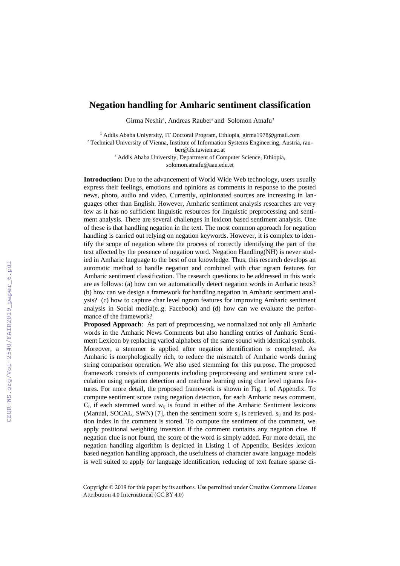## **Negation handling for Amharic sentiment classification**

Girma Neshir<sup>1</sup>, Andreas Rauber<sup>2</sup> and Solomon Atnafu<sup>3</sup>

<sup>1</sup> Addis Ababa University, IT Doctoral Program, Ethiopia, girma1978@gmail.com <sup>2</sup> Technical University of Vienna, Institute of Information Systems Engineering, Austria, rauber@ifs.tuwien.ac.at

<sup>3</sup> Addis Ababa University, Department of Computer Science, Ethiopia, solomon.atnafu@aau.edu.et

**Introduction:** Due to the advancement of World Wide Web technology, users usually express their feelings, emotions and opinions as comments in response to the posted news, photo, audio and video. Currently, opinionated sources are increasing in languages other than English. However, Amharic sentiment analysis researches are very few as it has no sufficient linguistic resources for linguistic preprocessing and sentiment analysis. There are several challenges in lexicon based sentiment analysis. One of these is that handling negation in the text. The most common approach for negation handling is carried out relying on negation keywords. However, it is complex to identify the scope of negation where the process of correctly identifying the part of the text affected by the presence of negation word. Negation Handling(NH) is never studied in Amharic language to the best of our knowledge. Thus, this research develops an automatic method to handle negation and combined with char ngram features for Amharic sentiment classification. The research questions to be addressed in this work are as follows: (a) how can we automatically detect negation words in Amharic texts? (b) how can we design a framework for handling negation in Amharic sentiment analysis? (c) how to capture char level ngram features for improving Amharic sentiment analysis in Social media(e..g. Facebook) and (d) how can we evaluate the performance of the framework?

**Proposed Approach**: As part of preprocessing, we normalized not only all Amharic words in the Amharic News Comments but also handling entries of Amharic Sentiment Lexicon by replacing varied alphabets of the same sound with identical symbols. Moreover, a stemmer is applied after negation identification is completed. As Amharic is morphologically rich, to reduce the mismatch of Amharic words during string comparison operation. We also used stemming for this purpose. The proposed framework consists of components including preprocessing and sentiment score calculation using negation detection and machine learning using char level ngrams features. For more detail, the proposed framework is shown in Fig. 1 of Appendix. To compute sentiment score using negation detection, for each Amharic news comment,  $C_i$ , if each stemmed word  $w_{ij}$  is found in either of the Amharic Sentiment lexicons (Manual, SOCAL, SWN) [7], then the sentiment score  $s_{ii}$  is retrieved.  $s_{ii}$  and its position index in the comment is stored. To compute the sentiment of the comment, we apply positional weighting inversion if the comment contains any negation clue. If negation clue is not found, the score of the word is simply added. For more detail, the negation handling algorithm is depicted in Listing 1 of Appendix. Besides lexicon based negation handling approach, the usefulness of character aware language models is well suited to apply for language identification, reducing of text feature sparse di-

Copyright © 2019 for this paper by its authors. Use permitted under Creative Commons License Attribution 4.0 International (CC BY 4.0)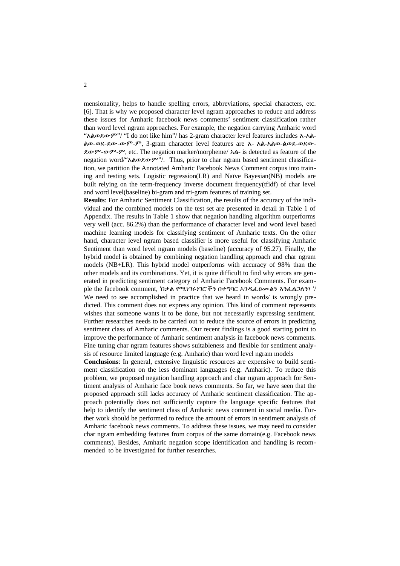mensionality, helps to handle spelling errors, abbreviations, special characters, etc. [6]. That is why we proposed character level ngram approaches to reduce and address these issues for Amharic facebook news comments' sentiment classification rather than word level ngram approaches. For example, the negation carrying Amharic word "አልወደውም"/ "I do not like him"/ has 2-gram character level features includes አ-አል-ልወ-ወደ-ደው-ውም-ም, 3-gram character level features are አ- አል-አልወ-ልወደ-ወደው-ደውም-ውም-ም, etc. The negation marker/morpheme/ አል- is detected as feature of the negation word/"አልወደውም"/. Thus, prior to char ngram based sentiment classification, we partition the Annotated Amharic Facebook News Comment corpus into training and testing sets. Logistic regression(LR) and Naïve Bayesian(NB) models are built relying on the term-frequency inverse document frequency(tfidf) of char level and word level(baseline) bi-gram and tri-gram features of training set.

**Results**: For Amharic Sentiment Classification, the results of the accuracy of the individual and the combined models on the test set are presented in detail in Table 1 of Appendix. The results in Table 1 show that negation handling algorithm outperforms very well (acc. 86.2%) than the performance of character level and word level based machine learning models for classifying sentiment of Amharic texts. On the other hand, character level ngram based classifier is more useful for classifying Amharic Sentiment than word level ngram models (baseline) (accuracy of 95.27). Finally, the hybrid model is obtained by combining negation handling approach and char ngram models (NB+LR). This hybrid model outperforms with accuracy of 98% than the other models and its combinations. Yet, it is quite difficult to find why errors are gen erated in predicting sentiment category of Amharic Facebook Comments. For example the facebook comment, 'በቃል የሚነገሩነገሮችን በተግባር እንዲፈፀሙልን እንፈልጋለን፣ '/ We need to see accomplished in practice that we heard in words/ is wrongly predicted. This comment does not express any opinion. This kind of comment represents wishes that someone wants it to be done, but not necessarily expressing sentiment. Further researches needs to be carried out to reduce the source of errors in predicting sentiment class of Amharic comments. Our recent findings is a good starting point to improve the performance of Amharic sentiment analysis in facebook news comments. Fine tuning char ngram features shows suitableness and flexible for sentiment analysis of resource limited language (e.g. Amharic) than word level ngram models

**Conclusions**: In general, extensive linguistic resources are expensive to build sentiment classification on the less dominant languages (e.g. Amharic). To reduce this problem, we proposed negation handling approach and char ngram approach for Sentiment analysis of Amharic face book news comments. So far, we have seen that the proposed approach still lacks accuracy of Amharic sentiment classification. The approach potentially does not sufficiently capture the language specific features that help to identify the sentiment class of Amharic news comment in social media. Further work should be performed to reduce the amount of errors in sentiment analysis of Amharic facebook news comments. To address these issues, we may need to consider char ngram embedding features from corpus of the same domain(e.g. Facebook news comments). Besides, Amharic negation scope identification and handling is recommended to be investigated for further researches.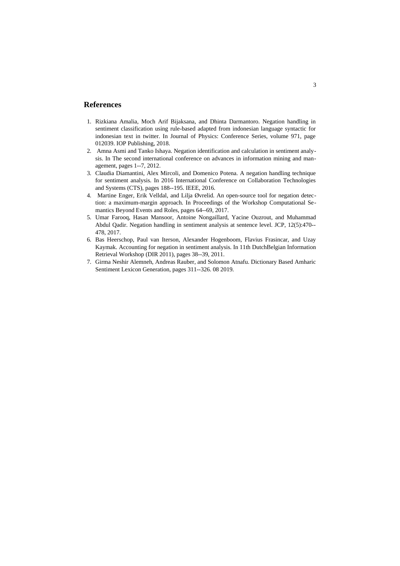## **References**

- 1. Rizkiana Amalia, Moch Arif Bijaksana, and Dhinta Darmantoro. Negation handling in sentiment classification using rule-based adapted from indonesian language syntactic for indonesian text in twitter. In Journal of Physics: Conference Series, volume 971, page 012039. IOP Publishing, 2018.
- 2. Amna Asmi and Tanko Ishaya. Negation identification and calculation in sentiment analysis. In The second international conference on advances in information mining and management, pages 1--7, 2012.
- 3. Claudia Diamantini, Alex Mircoli, and Domenico Potena. A negation handling technique for sentiment analysis. In 2016 International Conference on Collaboration Technologies and Systems (CTS), pages 188--195. IEEE, 2016.
- 4. Martine Enger, Erik Velldal, and Lilja Øvrelid. An open-source tool for negation detection: a maximum-margin approach. In Proceedings of the Workshop Computational Semantics Beyond Events and Roles, pages 64--69, 2017.
- 5. Umar Farooq, Hasan Mansoor, Antoine Nongaillard, Yacine Ouzrout, and Muhammad Abdul Qadir. Negation handling in sentiment analysis at sentence level. JCP, 12(5):470-- 478, 2017.
- 6. Bas Heerschop, Paul van Iterson, Alexander Hogenboom, Flavius Frasincar, and Uzay Kaymak. Accounting for negation in sentiment analysis. In 11th DutchBelgian Information Retrieval Workshop (DIR 2011), pages 38--39, 2011.
- 7. Girma Neshir Alemneh, Andreas Rauber, and Solomon Atnafu. Dictionary Based Amharic Sentiment Lexicon Generation, pages 311--326. 08 2019.